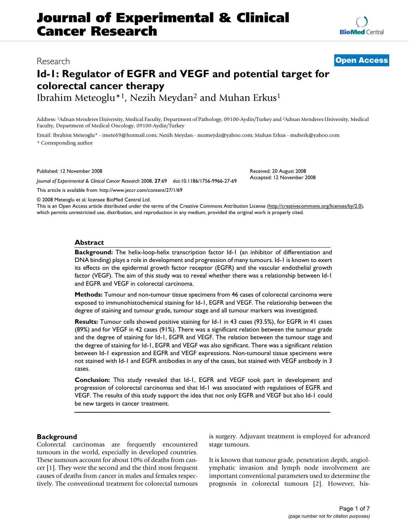# **Journal of Experimental & Clinical Cancer Research**

## **Id-1: Regulator of EGFR and VEGF and potential target for colorectal cancer therapy** Ibrahim Meteoglu\*1, Nezih Meydan2 and Muhan Erkus1

Address: 1Adnan Menderes University, Medical Faculty, Department of Pathology, 09100-Aydin/Turkey and 2Adnan Menderes University, Medical Faculty, Department of Medical Oncology, 09100-Aydin/Turkey

Email: Ibrahim Meteoglu\* - imete69@hotmail.com; Nezih Meydan - nezmeyda@yahoo.com; Muhan Erkus - muherk@yahoo.com \* Corresponding author

Published: 12 November 2008

*Journal of Experimental & Clinical Cancer Research* 2008, **27**:69 doi:10.1186/1756-9966-27-69

[This article is available from: http://www.jeccr.com/content/27/1/69](http://www.jeccr.com/content/27/1/69)

© 2008 Meteoglu et al; licensee BioMed Central Ltd.

This is an Open Access article distributed under the terms of the Creative Commons Attribution License [\(http://creativecommons.org/licenses/by/2.0\)](http://creativecommons.org/licenses/by/2.0), which permits unrestricted use, distribution, and reproduction in any medium, provided the original work is properly cited.

#### **Abstract**

**Background:** The helix-loop-helix transcription factor Id-1 (an inhibitor of differentiation and DNA binding) plays a role in development and progression of many tumours. Id-1 is known to exert its effects on the epidermal growth factor receptor (EGFR) and the vascular endothelial growth factor (VEGF). The aim of this study was to reveal whether there was a relationship between Id-1 and EGFR and VEGF in colorectal carcinoma.

**Methods:** Tumour and non-tumour tissue specimens from 46 cases of colorectal carcinoma were exposed to immunohistochemical staining for Id-1, EGFR and VEGF. The relationship between the degree of staining and tumour grade, tumour stage and all tumour markers was investigated.

**Results:** Tumour cells showed positive staining for Id-1 in 43 cases (93.5%), for EGFR in 41 cases (89%) and for VEGF in 42 cases (91%). There was a significant relation between the tumour grade and the degree of staining for Id-1, EGFR and VEGF. The relation between the tumour stage and the degree of staining for Id-1, EGFR and VEGF was also significant. There was a significant relation between Id-1 expression and EGFR and VEGF expressions. Non-tumoural tissue specimens were not stained with Id-1 and EGFR antibodies in any of the cases, but stained with VEGF antibody in 3 cases.

**Conclusion:** This study revealed that Id-1, EGFR and VEGF took part in development and progression of colorectal carcinomas and that Id-1 was associated with regulations of EGFR and VEGF. The results of this study support the idea that not only EGFR and VEGF but also Id-1 could be new targets in cancer treatment.

#### **Background**

Colorectal carcinomas are frequently encountered tumours in the world, especially in developed countries. These tumours account for about 10% of deaths from cancer [1]. They were the second and the third most frequent causes of deaths from cancer in males and females respectively. The conventional treatment for colorectal tumours is surgery. Adjuvant treatment is employed for advanced stage tumours.

It is known that tumour grade, penetration depth, angiolymphatic invasion and lymph node involvement are important conventional parameters used to determine the prognosis in colorectal tumours [2]. However, his-

## Research **[Open Access](http://www.biomedcentral.com/info/about/charter/)**

Received: 20 August 2008 Accepted: 12 November 2008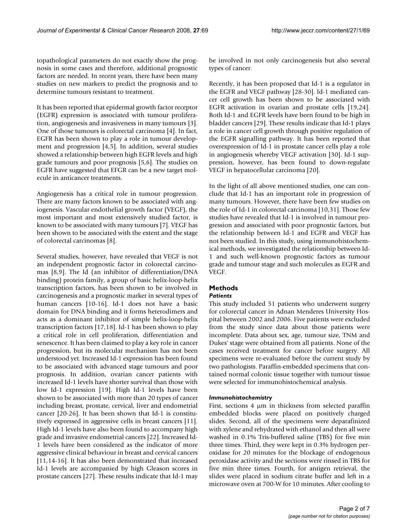topathological parameters do not exactly show the prognosis in some cases and therefore, additional prognostic factors are needed. In recent years, there have been many studies on new markers to predict the prognosis and to determine tumours resistant to treatment.

It has been reported that epidermal growth factor receptor (EGFR) expression is associated with tumour proliferation, angiogenesis and invasiveness in many tumours [3]. One of those tumours is colorectal carcinoma [4]. In fact, EGFR has been shown to play a role in tumour development and progression [4,5]. In addition, several studies showed a relationship between high EGFR levels and high grade tumours and poor prognosis [5,6]. The studies on EGFR have suggested that EFGR can be a new target molecule in anticancer treatments.

Angiogenesis has a critical role in tumour progression. There are many factors known to be associated with angiogenesis. Vascular endothelial growth factor (VEGF), the most important and most extensively studied factor, is known to be associated with many tumours [7]. VEGF has been shown to be associated with the extent and the stage of colorectal carcinomas [8].

Several studies, however, have revealed that VEGF is not an independent prognostic factor in colorectal carcinomas [8,9]. The Id (an inhibitor of differentiation/DNA binding) protein family, a group of basic helix-loop-helix transcription factors, has been shown to be involved in carcinogenesis and a prognostic marker in several types of human cancers [10-16]. Id-1 does not have a basic domain for DNA binding and it forms heterodimers and acts as a dominant inhibitor of simple helix-loop-helix transcription factors [17,18]. Id-1 has been shown to play a critical role in cell proliferation, differentiation and senescence. It has been claimed to play a key role in cancer progression, but its molecular mechanism has not been understood yet. Increased Id-1 expression has been found to be associated with advanced stage tumours and poor prognosis. In addition, ovarian cancer patients with increased Id-1 levels have shorter survival than those with low Id-1 expression [19]. High Id-1 levels have been shown to be associated with more than 20 types of cancer including breast, prostate, cervical, liver and endometrial cancer [20-26]. It has been shown that Id-1 is constitutively expressed in aggressive cells in breast cancers [11]. High Id-1 levels have also been found to accompany high grade and invasive endometrial cancers [22]. Increased Id-1 levels have been considered as the indicator of more aggressive clinical behaviour in breast and cervical cancers [11,14-16]. It has also been demonstrated that increased Id-1 levels are accompanied by high Gleason scores in prostate cancers [27]. These results indicate that Id-1 may be involved in not only carcinogenesis but also several types of cancer.

Recently, it has been proposed that Id-1 is a regulator in the EGFR and VEGF pathway [28-30]. Id-1 mediated cancer cell growth has been shown to be associated with EGFR activation in ovarian and prostate cells [19,24]. Both Id-1 and EGFR levels have been found to be high in bladder cancers [29]. These results indicate that Id-1 plays a role in cancer cell growth through positive regulation of the EGFR signalling pathway. It has been reported that overexpression of Id-1 in prostate cancer cells play a role in angiogenesis whereby VEGF activation [30]. Id-1 suppression, however, has been found to down-regulate VEGF in hepatocellular carcinoma [20].

In the light of all above mentioned studies, one can conclude that Id-1 has an important role in progression of many tumours. However, there have been few studies on the role of Id-1 in colorectal carcinoma [10,31]. Those few studies have revealed that Id-1 is involved in tumour progression and associated with poor prognostic factors, but the relationship between Id-1 and EGFR and VEGF has not been studied. In this study, using immunohistochemical methods, we investigated the relationship between Id-1 and such well-known prognostic factors as tumour grade and tumour stage and such molecules as EGFR and VEGF.

### **Methods**

### *Patients*

This study included 51 patients who underwent surgery for colorectal cancer in Adnan Menderes University Hospital between 2002 and 2006. Five patients were excluded from the study since data about those patients were incomplete. Data about sex, age, tumour size, TNM and Dukes' stage were obtained from all patients. None of the cases received treatment for cancer before surgery. All specimens were re-evaluated before the current study by two pathologists. Paraffin-embedded specimens that contained normal colonic tissue together with tumour tissue were selected for immunohistochemical analysis.

### *Immunohistochemistry*

First, sections 4 μm in thickness from selected paraffin embedded blocks were placed on positively charged slides. Second, all of the specimens were deparafinized with xylene and rehydrated with ethanol and then all were washed in 0.1% Tris-buffered saline (TBS) for five min three times. Third, they were kept in 0.3% hydrogen peroxidase for 20 minutes for the blockage of endogenous peroxidase activity and the sections were rinsed in TBS for five min three times. Fourth, for antigen retrieval, the slides were placed in sodium citrate buffer and left in a microwave oven at 700-W for 10 minutes. After cooling to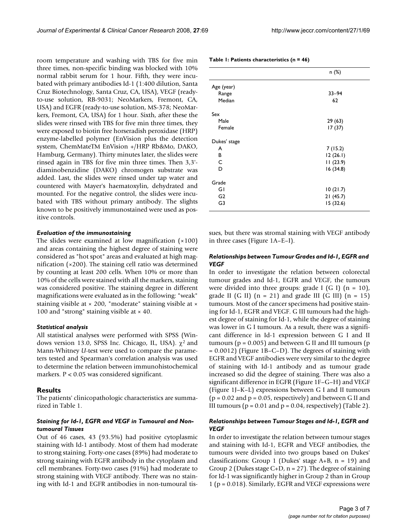room temperature and washing with TBS for five min three times, non-specific binding was blocked with 10% normal rabbit serum for 1 hour. Fifth, they were incubated with primary antibodies Id-1 (1:400 dilution, Santa Cruz Biotechnology, Santa Cruz, CA, USA), VEGF (readyto-use solution, RB-9031; NeoMarkers, Fremont, CA, USA) and EGFR (ready-to-use solution, MS-378; NeoMarkers, Fremont, CA, USA) for 1 hour. Sixth, after these the slides were rinsed with TBS for five min three times, they were exposed to biotin free horseradish peroxidase (HRP) enzyme-labelled polymer (EnVision plus the detection system, ChemMateTM EnVision +/HRP Rb&Mo, DAKO, Hamburg, Germany). Thirty minutes later, the slides were rinsed again in TBS for five min three times. Then 3,3' diaminobenzidine (DAKO) chromogen substrate was added. Last, the slides were rinsed under tap water and countered with Mayer's haematoxylin, dehydrated and mounted. For the negative control, the slides were incubated with TBS without primary antibody. The slights known to be positively immunostained were used as positive controls.

#### *Evaluation of the immunostaining*

The slides were examined at low magnification  $(x100)$ and areas containing the highest degree of staining were considered as "hot spot" areas and evaluated at high magnification (×200). The staining cell ratio was determined by counting at least 200 cells. When 10% or more than 10% of the cells were stained with all the markers, staining was considered positive. The staining degree in different magnifications were evaluated as in the following: "weak" staining visible at × 200, "moderate" staining visible at × 100 and "strong" staining visible at  $\times$  40.

#### *Statistical analysis*

All statistical analyses were performed with SPSS (Windows version 13.0, SPSS Inc. Chicago, IL, USA).  $χ²$  and Mann-Whitney *U*-test were used to compare the parameters tested and Spearman's correlation analysis was used to determine the relation between immunohistochemical markers. P < 0.05 was considered significant.

#### **Results**

The patients' clinicopathologic characteristics are summarized in Table 1.

#### *Staining for Id-1, EGFR and VEGF in Tumoural and Nontumoural Tissues*

Out of 46 cases, 43 (93.5%) had positive cytoplasmic staining with Id-1 antibody. Most of them had moderate to strong staining. Forty-one cases (89%) had moderate to strong staining with EGFR antibody in the cytoplasm and cell membranes. Forty-two cases (91%) had moderate to strong staining with VEGF antibody. There was no staining with Id-1 and EGFR antibodies in non-tumoural tis-

#### **Table 1: Patients characteristics (n = 46)**

|                | n (%)     |
|----------------|-----------|
| Age (year)     |           |
| Range          | $33 - 94$ |
| Median         | 62        |
| Sex            |           |
| Male           | 29(63)    |
| Female         | 17(37)    |
| Dukes' stage   |           |
| A              | 7(15.2)   |
| в              | 12(26.1)  |
| C              | 11(23.9)  |
| D              | 16(34.8)  |
| Grade          |           |
| GI             | 10(21.7)  |
| G <sub>2</sub> | 21(45.7)  |
| G3             | 15 (32.6) |

sues, but there was stromal staining with VEGF antibody in three cases (Figure 1A–E–I).

#### *Relationships between Tumour Grades and Id-1, EGFR and VEGF*

In order to investigate the relation between colorectal tumour grades and Id-1, EGFR and VEGF, the tumours were divided into three groups: grade I (G I)  $(n = 10)$ , grade II (G II)  $(n = 21)$  and grade III (G III)  $(n = 15)$ tumours. Most of the cancer specimens had positive staining for Id-1, EGFR and VEGF. G III tumours had the highest degree of staining for Id-1, while the degree of staining was lower in G I tumours. As a result, there was a significant difference in Id-1 expression between G I and II tumours ( $p = 0.005$ ) and between G II and III tumours ( $p = 0.005$ ) = 0.0012) (Figure 1B–C–D). The degrees of staining with EGFR and VEGF antibodies were very similar to the degree of staining with Id-1 antibody and as tumour grade increased so did the degree of staining. There was also a significant difference in EGFR (Figure 1F–G–H) and VEGF (Figure 1J–K–L) expressions between G I and II tumours  $(p = 0.02$  and  $p = 0.05$ , respectively) and between G II and III tumours ( $p = 0.01$  and  $p = 0.04$ , respectively) (Table 2).

#### *Relationships between Tumour Stages and Id-1, EGFR and VEGF*

In order to investigate the relation between tumour stages and staining with Id-1, EGFR and VEGF antibodies, the tumours were divided into two groups based on Dukes' classifications: Group 1 (Dukes' stage  $A+B$ ,  $n = 19$ ) and Group 2 (Dukes stage  $C+D$ , n = 27). The degree of staining for Id-1 was significantly higher in Group 2 than in Group 1 (p = 0.018). Similarly, EGFR and VEGF expressions were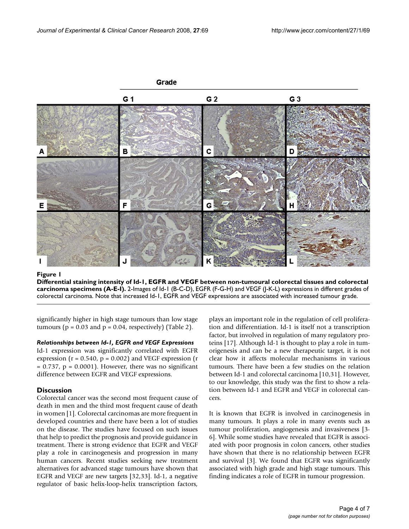

imens (A-E-I) **Figure 1** Differential staining intensity of Id-1, EGFR and VEGF between non-tumoural colorectal tissues and colorectal carcinoma spec-**Differential staining intensity of Id-1, EGFR and VEGF between non-tumoural colorectal tissues and colorectal carcinoma specimens (A-E-I).** 2-Images of Id-1 (B-C-D), EGFR (F-G-H) and VEGF (J-K-L) expressions in different grades of colorectal carcinoma. Note that increased Id-1, EGFR and VEGF expressions are associated with increased tumour grade.

significantly higher in high stage tumours than low stage tumours ( $p = 0.03$  and  $p = 0.04$ , respectively) (Table 2).

#### *Relationships between Id-1, EGFR and VEGF Expressions*

Id-1 expression was significantly correlated with EGFR expression ( $r = 0.540$ ,  $p = 0.002$ ) and VEGF expression ( $r = 0.540$ )  $= 0.737$ ,  $p = 0.0001$ ). However, there was no significant difference between EGFR and VEGF expressions.

#### **Discussion**

Colorectal cancer was the second most frequent cause of death in men and the third most frequent cause of death in women [1]. Colorectal carcinomas are more frequent in developed countries and there have been a lot of studies on the disease. The studies have focused on such issues that help to predict the prognosis and provide guidance in treatment. There is strong evidence that EGFR and VEGF play a role in carcinogenesis and progression in many human cancers. Recent studies seeking new treatment alternatives for advanced stage tumours have shown that EGFR and VEGF are new targets [32,33]. Id-1, a negative regulator of basic helix-loop-helix transcription factors,

plays an important role in the regulation of cell proliferation and differentiation. Id-1 is itself not a transcription factor, but involved in regulation of many regulatory proteins [17]. Although Id-1 is thought to play a role in tumorigenesis and can be a new therapeutic target, it is not clear how it affects molecular mechanisms in various tumours. There have been a few studies on the relation between Id-1 and colorectal carcinoma [10,31]. However, to our knowledge, this study was the first to show a relation between Id-1 and EGFR and VEGF in colorectal cancers.

It is known that EGFR is involved in carcinogenesis in many tumours. It plays a role in many events such as tumour proliferation, angiogenesis and invasiveness [3- 6]. While some studies have revealed that EGFR is associated with poor prognosis in colon cancers, other studies have shown that there is no relationship between EGFR and survival [3]. We found that EGFR was significantly associated with high grade and high stage tumours. This finding indicates a role of EGFR in tumour progression.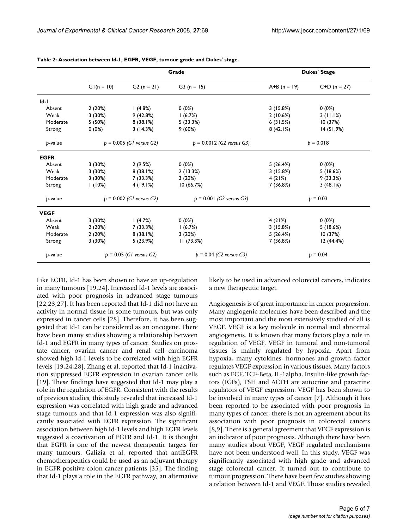|             | Grade                      |              |                             | <b>Dukes' Stage</b> |                |
|-------------|----------------------------|--------------|-----------------------------|---------------------|----------------|
|             | $GI(n = 10)$               | $G2(n = 21)$ | $G3(n = 15)$                | $A+B (n = 19)$      | $C+D$ (n = 27) |
| $Id-I$      |                            |              |                             |                     |                |
| Absent      | 2(20%)                     | (4.8%)       | 0(0%)                       | 3(15.8%)            | 0(0%)          |
| Weak        | 3(30%)                     | 9(42.8%)     | 1(6.7%)                     | 2(10.6%)            | 3(11.1%)       |
| Moderate    | 5 (50%)                    | 8(38.1%)     | 5(33.3%)                    | 6(31.5%)            | 10(37%)        |
| Strong      | $0(0\%)$                   | 3(14.3%)     | 9(60%)                      | 8(42.1%)            | 14(51.9%)      |
| p-value     | $p = 0.005$ (GI versus G2) |              | $p = 0.0012$ (G2 versus G3) | $p = 0.018$         |                |
| <b>EGFR</b> |                            |              |                             |                     |                |
| Absent      | 3(30%)                     | 2(9.5%)      | $0(0\%)$                    | 5(26.4%)            | 0(0%)          |
| Weak        | 3(30%)                     | 8(38.1%)     | 2(13.3%)                    | 3(15.8%)            | 5(18.6%)       |
| Moderate    | 3(30%)                     | 7 (33.3%)    | 3(20%)                      | 4(21%)              | 9(33.3%)       |
| Strong      | 1(10%)                     | 4(19.1%)     | 10(66.7%)                   | 7 (36.8%)           | 3(48.1%)       |
| p-value     | $p = 0.002$ (G1 versus G2) |              | $p = 0.001$ (G2 versus G3)  | $p = 0.03$          |                |
| <b>VEGF</b> |                            |              |                             |                     |                |
| Absent      | 3(30%)                     | (4.7%)       | $0(0\%)$                    | 4(21%)              | $0(0\%)$       |
| Weak        | 2(20%)                     | 7 (33.3%)    | 1(6.7%)                     | 3(15.8%)            | 5(18.6%)       |
| Moderate    | 2(20%)                     | 8(38.1%)     | 3(20%)                      | 5(26.4%)            | 10(37%)        |
| Strong      | 3(30%)                     | 5(23.9%)     | 11(73.3%)                   | 7 (36.8%)           | 12 (44.4%)     |
| p-value     | $p = 0.05$ (GI versus G2)  |              | $p = 0.04$ (G2 versus G3)   | $p = 0.04$          |                |

**Table 2: Association between Id-1, EGFR, VEGF, tumour grade and Dukes' stage.**

Like EGFR, Id-1 has been shown to have an up-regulation in many tumours [19,24]. Increased Id-1 levels are associated with poor prognosis in advanced stage tumours [22,23,27]. It has been reported that Id-1 did not have an activity in normal tissue in some tumours, but was only expressed in cancer cells [28]. Therefore, it has been suggested that Id-1 can be considered as an oncogene. There have been many studies showing a relationship between Id-1 and EGFR in many types of cancer. Studies on prostate cancer, ovarian cancer and renal cell carcinoma showed high Id-1 levels to be correlated with high EGFR levels [19,24,28]. Zhang et al. reported that Id-1 inactivation suppressed EGFR expression in ovarian cancer cells [19]. These findings have suggested that Id-1 may play a role in the regulation of EGFR. Consistent with the results of previous studies, this study revealed that increased Id-1 expression was correlated with high grade and advanced stage tumours and that Id-1 expression was also significantly associated with EGFR expression. The significant association between high Id-1 levels and high EGFR levels suggested a coactivation of EGFR and Id-1. It is thought that EGFR is one of the newest therapeutic targets for many tumours. Galizia et al. reported that antiEGFR chemotherapeutics could be used as an adjuvant therapy in EGFR positive colon cancer patients [35]. The finding that Id-1 plays a role in the EGFR pathway, an alternative

likely to be used in advanced colorectal cancers, indicates a new therapeutic target.

Angiogenesis is of great importance in cancer progression. Many angiogenic molecules have been described and the most important and the most extensively studied of all is VEGF. VEGF is a key molecule in normal and abnormal angiogenesis. It is known that many factors play a role in regulation of VEGF. VEGF in tumoral and non-tumoral tissues is mainly regulated by hypoxia. Apart from hypoxia, many cytokines, hormones and growth factor regulates VEGF expression in various tissues. Many factors such as EGF, TGF-Beta, IL-1alpha, Insulin-like growth factors (IGFs), TSH and ACTH are autocrine and paracrine regulators of VEGF expression. VEGF has been shown to be involved in many types of cancer [7]. Although it has been reported to be associated with poor prognosis in many types of cancer, there is not an agreement about its association with poor prognosis in colorectal cancers [8,9]. There is a general agreement that VEGF expression is an indicator of poor prognosis. Although there have been many studies about VEGF, VEGF regulated mechanisms have not been understood well. In this study, VEGF was significantly associated with high grade and advanced stage colorectal cancer. It turned out to contribute to tumour progression. There have been few studies showing a relation between Id-1 and VEGF. Those studies revealed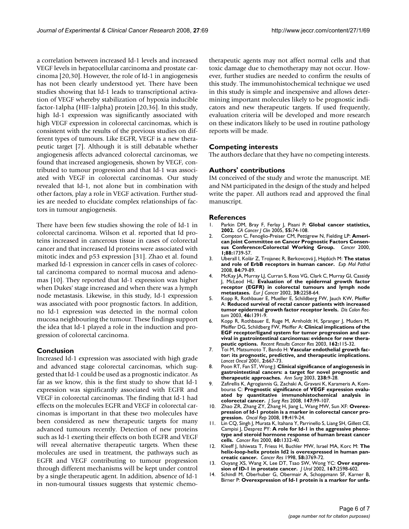a correlation between increased Id-1 levels and increased VEGF levels in hepatocellular carcinoma and prostate carcinoma [20,30]. However, the role of Id-1 in angiogenesis has not been clearly understood yet. There have been studies showing that Id-1 leads to transcriptional activation of VEGF whereby stabilization of hypoxia inducible factor-1alpha (HIF-1alpha) protein [20,36]. In this study, high Id-1 expression was significantly associated with high VEGF expression in colorectal carcinomas, which is consistent with the results of the previous studies on different types of tumours. Like EGFR, VEGF is a new therapeutic target [7]. Although it is still debatable whether angiogenesis affects advanced colorectal carcinomas, we found that increased angiogenesis, shown by VEGF, contributed to tumour progression and that Id-1 was associated with VEGF in colorectal carcinomas. Our study revealed that Id-1, not alone but in combination with other factors, play a role in VEGF activation. Further studies are needed to elucidate complex relationships of factors in tumour angiogenesis.

There have been few studies showing the role of Id-1 in colorectal carcinoma. Wilson et al. reported that Id proteins increased in cancerous tissue in cases of colorectal cancer and that increased Id proteins were associated with mitotic index and p53 expression [31]. Zhao et al. found marked Id-1 expression in cancer cells in cases of colorectal carcinoma compared to normal mucosa and adenomas [10]. They reported that Id-1 expression was higher when Dukes' stage increased and when there was a lymph node metastasis. Likewise, in this study, Id-1 expression was associated with poor prognostic factors. In addition, no Id-1 expression was detected in the normal colon mucosa neighbouring the tumour. These findings support the idea that Id-1 played a role in the induction and progression of colorectal carcinoma.

### **Conclusion**

Increased Id-1 expression was associated with high grade and advanced stage colorectal carcinomas, which suggested that Id-1 could be used as a prognostic indicator. As far as we know, this is the first study to show that Id-1 expression was significantly associated with EGFR and VEGF in colorectal carcinomas. The finding that Id-1 had effects on the molecules EGFR and VEGF in colorectal carcinomas is important in that these two molecules have been considered as new therapeutic targets for many advanced tumours recently. Detection of new proteins such as Id-1 exerting their effects on both EGFR and VEGF will reveal alternative therapeutic targets. When these molecules are used in treatment, the pathways such as EGFR and VEGF contributing to tumour progression through different mechanisms will be kept under control by a single therapeutic agent. In addition, absence of Id-1 in non-tumoural tissues suggests that systemic chemotherapeutic agents may not affect normal cells and that toxic damage due to chemotherapy may not occur. However, further studies are needed to confirm the results of this study. The immunohistochemical technique we used in this study is simple and inexpensive and allows determining important molecules likely to be prognostic indicators and new therapeutic targets. If used frequently, evaluation criteria will be developed and more research on these indicators likely to be used in routine pathology reports will be made.

### **Competing interests**

The authors declare that they have no competing interests.

#### **Authors' contributions**

IM conceived of the study and wrote the manuscript. ME and NM participated in the design of the study and helped write the paper. All authors read and approved the final manuscript.

#### **References**

- 1. Parkin DM, Bray F, Ferlay J, Pisani P: **[Global cancer statistics,](http://www.ncbi.nlm.nih.gov/entrez/query.fcgi?cmd=Retrieve&db=PubMed&dopt=Abstract&list_uids=15761078) [2002.](http://www.ncbi.nlm.nih.gov/entrez/query.fcgi?cmd=Retrieve&db=PubMed&dopt=Abstract&list_uids=15761078)** *CA Cancer J Clin* 2005, **55:**74-108.
- 2. Compton C, Fenoglio-Preiser CM, Pettigrew N, Fielding LP: **American Joint Committee on Cancer Prognostic Factors Consensus Conference:Colorectal Working Group.** *Cancer* 2000, **1;88:**1739-57.
- 3. Uberall I, Kolár Z, Trojanec R, Berkovcová J, Hajdúch M: **[The status](http://www.ncbi.nlm.nih.gov/entrez/query.fcgi?cmd=Retrieve&db=PubMed&dopt=Abstract&list_uids=18279851) [and role of ErbB receptors in human cancer.](http://www.ncbi.nlm.nih.gov/entrez/query.fcgi?cmd=Retrieve&db=PubMed&dopt=Abstract&list_uids=18279851)** *Exp Mol Pathol* 2008, **84:**79-89.
- 4. McKay JA, Murray LJ, Curran S, Ross VG, Clark C, Murray GI, Cassidy J, McLeod HL: **[Evaluation of the epidermal growth factor](http://www.ncbi.nlm.nih.gov/entrez/query.fcgi?cmd=Retrieve&db=PubMed&dopt=Abstract&list_uids=12441262) [receptor \(EGFR\) in colorectal tumours and lymph node](http://www.ncbi.nlm.nih.gov/entrez/query.fcgi?cmd=Retrieve&db=PubMed&dopt=Abstract&list_uids=12441262) [metastases.](http://www.ncbi.nlm.nih.gov/entrez/query.fcgi?cmd=Retrieve&db=PubMed&dopt=Abstract&list_uids=12441262)** *Eur J Cancer* 2002, **38:**2258-64.
- 5. Kopp R, Rothbauer E, Mueller E, Schildberg FW, Jauch KW, Pfeiffer A: **[Reduced survival of rectal cancer patients with increased](http://www.ncbi.nlm.nih.gov/entrez/query.fcgi?cmd=Retrieve&db=PubMed&dopt=Abstract&list_uids=14530681) [tumor epidermal growth factor receptor levels.](http://www.ncbi.nlm.nih.gov/entrez/query.fcgi?cmd=Retrieve&db=PubMed&dopt=Abstract&list_uids=14530681)** *Dis Colon Rectum* 2003, **46:**1391-9.
- 6. Kopp R, Rothbauer E, Ruge M, Arnholdt H, Spranger J, Muders M, Pfeiffer DG, Schildberg FW, Pfeiffer A: **[Clinical implications of the](http://www.ncbi.nlm.nih.gov/entrez/query.fcgi?cmd=Retrieve&db=PubMed&dopt=Abstract&list_uids=12790326) [EGF receptor/ligand system for tumor progression and sur](http://www.ncbi.nlm.nih.gov/entrez/query.fcgi?cmd=Retrieve&db=PubMed&dopt=Abstract&list_uids=12790326)vival in gastrointestinal carcinomas: evidence for new thera[peutic options.](http://www.ncbi.nlm.nih.gov/entrez/query.fcgi?cmd=Retrieve&db=PubMed&dopt=Abstract&list_uids=12790326)** *Recent Results Cancer Res* 2003, **162:**115-32.
- 7. Toi M, Matsumoto T, Bando H: **[Vascular endothelial growth fac](http://www.ncbi.nlm.nih.gov/entrez/query.fcgi?cmd=Retrieve&db=PubMed&dopt=Abstract&list_uids=11902537)[tor: its prognostic, predictive, and therapeutic implications.](http://www.ncbi.nlm.nih.gov/entrez/query.fcgi?cmd=Retrieve&db=PubMed&dopt=Abstract&list_uids=11902537)** *Lancet Oncol* 2001, **2:**667-73.
- 8. Poon RT, Fan ST, Wong J: **[Clinical significance of angiogenesis in](http://www.ncbi.nlm.nih.gov/entrez/query.fcgi?cmd=Retrieve&db=PubMed&dopt=Abstract&list_uids=12832961) [gastrointestinal cancers: a target for novel prognostic and](http://www.ncbi.nlm.nih.gov/entrez/query.fcgi?cmd=Retrieve&db=PubMed&dopt=Abstract&list_uids=12832961) [therapeutic approaches.](http://www.ncbi.nlm.nih.gov/entrez/query.fcgi?cmd=Retrieve&db=PubMed&dopt=Abstract&list_uids=12832961)** *Ann Surg* 2003, **238:**9-28.
- Zafirellis K, Agrogiannis G, Zachaki A, Gravani K, Karameris A, Kombouras C: **[Prognostic significance of VEGF expression evalu](http://www.ncbi.nlm.nih.gov/entrez/query.fcgi?cmd=Retrieve&db=PubMed&dopt=Abstract&list_uids=17655863)[ated by quantitative immunohistochemical analysis in](http://www.ncbi.nlm.nih.gov/entrez/query.fcgi?cmd=Retrieve&db=PubMed&dopt=Abstract&list_uids=17655863) [colorectal cancer.](http://www.ncbi.nlm.nih.gov/entrez/query.fcgi?cmd=Retrieve&db=PubMed&dopt=Abstract&list_uids=17655863)** *J Surg Res* 2008, **147:**99-107.
- 10. Zhao ZR, Zhang ZY, Zhang H, Jiang L, Wang MW, Sun XF: **[Overex](http://www.ncbi.nlm.nih.gov/entrez/query.fcgi?cmd=Retrieve&db=PubMed&dopt=Abstract&list_uids=18202790)[pression of Id-1 protein is a marker in colorectal cancer pro](http://www.ncbi.nlm.nih.gov/entrez/query.fcgi?cmd=Retrieve&db=PubMed&dopt=Abstract&list_uids=18202790)[gression.](http://www.ncbi.nlm.nih.gov/entrez/query.fcgi?cmd=Retrieve&db=PubMed&dopt=Abstract&list_uids=18202790)** *Oncol Rep* 2008, **19:**419-24.
- 11. Lin CQ, Singh J, Murata K, Itahana Y, Parrinello S, Liang SH, Gillett CE, Campisi J, Desprez PY: **[A role for Id-1 in the aggressive pheno](http://www.ncbi.nlm.nih.gov/entrez/query.fcgi?cmd=Retrieve&db=PubMed&dopt=Abstract&list_uids=10728695)[type and steroid hormone response of human breast cancer](http://www.ncbi.nlm.nih.gov/entrez/query.fcgi?cmd=Retrieve&db=PubMed&dopt=Abstract&list_uids=10728695) [cells.](http://www.ncbi.nlm.nih.gov/entrez/query.fcgi?cmd=Retrieve&db=PubMed&dopt=Abstract&list_uids=10728695)** *Cancer Res* 2000, **60:**1332-40.
- 12. Kleeff J, Ishiwata T, Friess H, Buchler MW, Israel MA, Korc M: **[The](http://www.ncbi.nlm.nih.gov/entrez/query.fcgi?cmd=Retrieve&db=PubMed&dopt=Abstract&list_uids=9731481) [helix-loop-helix protein Id2 is overexpressed in human pan](http://www.ncbi.nlm.nih.gov/entrez/query.fcgi?cmd=Retrieve&db=PubMed&dopt=Abstract&list_uids=9731481)[creatic cancer.](http://www.ncbi.nlm.nih.gov/entrez/query.fcgi?cmd=Retrieve&db=PubMed&dopt=Abstract&list_uids=9731481)** *Cancer Res* 1998, **58:**3769-72.
- 13. Ouyang XS, Wang X, Lee DT, Tsao SW, Wong YC: **[Over expres](http://www.ncbi.nlm.nih.gov/entrez/query.fcgi?cmd=Retrieve&db=PubMed&dopt=Abstract&list_uids=11992094)[sion of ID-1 in prostate cancer.](http://www.ncbi.nlm.nih.gov/entrez/query.fcgi?cmd=Retrieve&db=PubMed&dopt=Abstract&list_uids=11992094)** *J Urol* 2002, **167:**2598-602.
- 14. Schindl M, Oberhuber G, Obermair A, Schoppmann SF, Karner B, Birner P: **[Overexpression of Id-1 protein is a marker for unfa](http://www.ncbi.nlm.nih.gov/entrez/query.fcgi?cmd=Retrieve&db=PubMed&dopt=Abstract&list_uids=11479201)-**